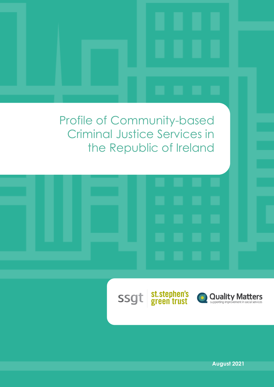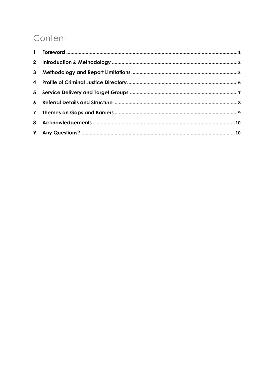## Content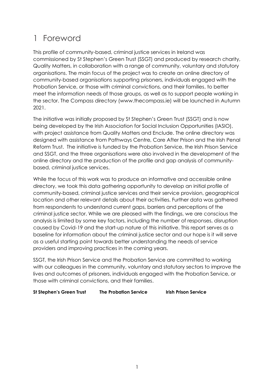### <span id="page-2-0"></span>1 Foreword

This profile of community-based, criminal justice services in Ireland was commissioned by St Stephen's Green Trust (SSGT) and produced by research charity, Quality Matters, in collaboration with a range of community, voluntary and statutory organisations. The main focus of the project was to create an online directory of community-based organisations supporting prisoners, individuals engaged with the Probation Service, or those with criminal convictions, and their families, to better meet the information needs of those groups, as well as to support people working in the sector. The Compass directory (www.thecompass.ie) will be launched in Autumn 2021.

The initiative was initially proposed by St Stephen's Green Trust (SSGT) and is now being developed by the Irish Association for Social Inclusion Opportunities (IASIO), with project assistance from Quality Matters and Enclude. The online directory was designed with assistance from Pathways Centre, Care After Prison and the Irish Penal Reform Trust. The initiative is funded by the Probation Service, the Irish Prison Service and SSGT, and the three organisations were also involved in the development of the online directory and the production of the profile and gap analysis of communitybased, criminal justice services.

While the focus of this work was to produce an informative and accessible online directory, we took this data gathering opportunity to develop an initial profile of community-based, criminal justice services and their service provision, geographical location and other relevant details about their activities. Further data was gathered from respondents to understand current gaps, barriers and perceptions of the criminal justice sector. While we are pleased with the findings, we are conscious the analysis is limited by some key factors, including the number of responses, disruption caused by Covid-19 and the start-up nature of this initiative. This report serves as a baseline for information about the criminal justice sector and our hope is it will serve as a useful starting point towards better understanding the needs of service providers and improving practices in the coming years.

SSGT, the Irish Prison Service and the Probation Service are committed to working with our colleagues in the community, voluntary and statutory sectors to improve the lives and outcomes of prisoners, individuals engaged with the Probation Service, or those with criminal convictions, and their families.

**St Stephen's Green Trust The Probation Service Irish Prison Service**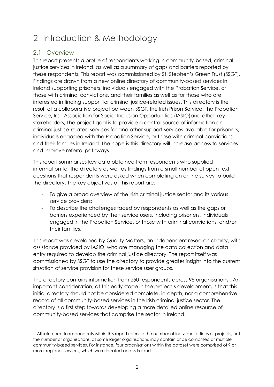## <span id="page-3-0"></span>2 Introduction & Methodology

### 2.1 Overview

This report presents a profile of respondents working in community-based, criminal justice services in Ireland, as well as a summary of gaps and barriers reported by these respondents. This report was commissioned by St. Stephen's Green Trust (SSGT). Findings are drawn from a new online directory of community-based services in Ireland supporting prisoners, individuals engaged with the Probation Service, or those with criminal convictions, and their families as well as for those who are interested in finding support for criminal justice-related issues. This directory is the result of a collaborative project between SSGT, the Irish Prison Service, the Probation Service, Irish Association for Social Inclusion Opportunities (IASIO)and other key stakeholders, The project goal is to provide a central source of information on criminal justice-related services for and other support services available for prisoners, individuals engaged with the Probation Service, or those with criminal convictions, and their families in Ireland. The hope is this directory will increase access to services and improve referral pathways.

This report summarises key data obtained from respondents who supplied information for the directory as well as findings from a small number of open text questions that respondents were asked when completing an online survey to build the directory. The key objectives of this report are:

- To give a broad overview of the Irish criminal justice sector and its various service providers;
- To describe the challenges faced by respondents as well as the gaps or barriers experienced by their service users, including prisoners, individuals engaged in the Probation Service, or those with criminal convictions, and/or their families.

This report was developed by Quality Matters, an independent research charity, with assistance provided by IASIO, who are managing the data collection and data entry required to develop the criminal justice directory. The report itself was commissioned by SSGT to use the directory to provide greater insight into the current situation of service provision for these service user groups.

The directory contains information from 250 respondents across 95 organisations<sup>1</sup>. An important consideration, at this early stage in the project's development, is that this initial directory should not be considered complete, in-depth, nor a comprehensive record of all community-based services in the Irish criminal justice sector. The directory is a first step towards developing a more detailed online resource of community-based services that comprise the sector in Ireland.

<sup>&</sup>lt;sup>1</sup> All reference to respondents within this report refers to the number of individual offices or projects, not the number of organisations, as some larger organisations may contain or be comprised of multiple community-based services. For instance, four organisations within the dataset were comprised of 9 or more regional services, which were located across Ireland.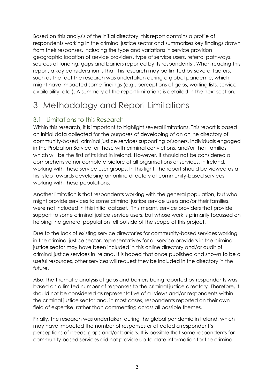Based on this analysis of the initial directory, this report contains a profile of respondents working in the criminal justice sector and summarises key findings drawn from their responses, including the type and variations in service provision, geographic location of service providers, type of service users, referral pathways, sources of funding, gaps and barriers reported by its respondents . When reading this report, a key consideration is that this research may be limited by several factors, such as the fact the research was undertaken during a global pandemic, which might have impacted some findings (e.g., perceptions of gaps, waiting lists, service availability, etc.). A summary of the report limitations is detailed in the next section.

### <span id="page-4-0"></span>3 Methodology and Report Limitations

### 3.1 Limitations to this Research

Within this research, it is important to highlight several limitations. This report is based on initial data collected for the purposes of developing of an online directory of community-based, criminal justice services supporting prisoners, individuals engaged in the Probation Service, or those with criminal convictions, and/or their families, which will be the first of its kind in Ireland. However, it should not be considered a comprehensive nor complete picture of all organisations or services, in Ireland, working with these service user groups. In this light, the report should be viewed as a first step towards developing an online directory of community-based services working with these populations.

Another limitation is that respondents working with the general population, but who might provide services to some criminal justice service users and/or their families, were not included in this initial dataset. This meant, service providers that provide support to some criminal justice service users, but whose work is primarily focussed on helping the general population fell outside of the scope of this project.

Due to the lack of existing service directories for community-based services working in the criminal justice sector, representatives for all service providers in the criminal justice sector may have been included in this online directory and/or audit of criminal justice services in Ireland. It is hoped that once published and shown to be a useful resources, other services will request they be included in the directory in the future.

Also, the thematic analysis of gaps and barriers being reported by respondents was based on a limited number of responses to the criminal justice directory. Therefore, it should not be considered as representative of all views and/or respondents within the criminal justice sector and, in most cases, respondents reported on their own field of expertise, rather than commenting across all possible themes.

Finally, the research was undertaken during the global pandemic in Ireland, which may have impacted the number of responses or affected a respondent's perceptions of needs, gaps and/or barriers. It is possible that some respondents for community-based services did not provide up-to-date information for the criminal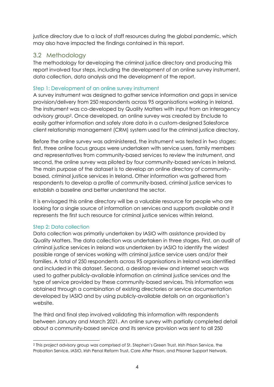justice directory due to a lack of staff resources during the global pandemic, which may also have impacted the findings contained in this report.

### 3.2 Methodology

The methodology for developing the criminal justice directory and producing this report involved four steps, including the development of an online survey instrument, data collection, data analysis and the development of the report.

#### Step 1: Development of an online survey instrument

A survey instrument was designed to gather service information and gaps in service provision/delivery from 250 respondents across 95 organisations working in Ireland. The instrument was co-developed by Quality Matters with input from an interagency advisory group<sup>2</sup> . Once developed, an online survey was created by Enclude to easily gather information and safely store data in a custom-designed Salesforce client relationship management (CRM) system used for the criminal justice directory.

Before the online survey was administered, the instrument was tested in two stages: first, three online focus groups were undertaken with service users, family members and representatives from community-based services to review the instrument, and second, the online survey was piloted by four community-based services in Ireland. The main purpose of the dataset is to develop an online directory of communitybased, criminal justice services in Ireland. Other information was gathered from respondents to develop a profile of community-based, criminal justice services to establish a baseline and better understand the sector.

It is envisaged this online directory will be a valuable resource for people who are looking for a single source of information on services and supports available and it represents the first such resource for criminal justice services within Ireland.

#### Step 2: Data collection

Data collection was primarily undertaken by IASIO with assistance provided by Quality Matters. The data collection was undertaken in three stages. First, an audit of criminal justice services in Ireland was undertaken by IASIO to identify the widest possible range of services working with criminal justice service users and/or their families. A total of 250 respondents across 95 organisations in Ireland was identified and included in this dataset. Second, a desktop review and internet search was used to gather publicly-available information on criminal justice services and the type of service provided by these community-based services. This information was obtained through a combination of existing directories or service documentation developed by IASIO and by using publicly-available details on an organisation's website.

The third and final step involved validating this information with respondents between January and March 2021. An online survey with partially completed detail about a community-based service and its service provision was sent to all 250

<sup>2</sup> This project advisory group was comprised of St. Stephen's Green Trust, Irish Prison Service, the Probation Service, IASIO, Irish Penal Reform Trust, Care After Prison, and Prisoner Support Network.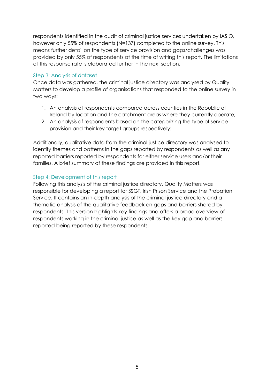respondents identified in the audit of criminal justice services undertaken by IASIO, however only 55% of respondents (N=137) completed to the online survey. This means further detail on the type of service provision and gaps/challenges was provided by only 55% of respondents at the time of writing this report. The limitations of this response rate is elaborated further in the next section.

#### Step 3: Analysis of dataset

Once data was gathered, the criminal justice directory was analysed by Quality Matters to develop a profile of organisations that responded to the online survey in two ways:

- 1. An analysis of respondents compared across counties in the Republic of Ireland by location and the catchment areas where they currently operate;
- 2. An analysis of respondents based on the categorizing the type of service provision and their key target groups respectively:

Additionally, qualitative data from the criminal justice directory was analysed to identify themes and patterns in the gaps reported by respondents as well as any reported barriers reported by respondents for either service users and/or their families. A brief summary of these findings are provided in this report.

#### Step 4: Development of this report

Following this analysis of the criminal justice directory, Quality Matters was responsible for developing a report for SSGT, Irish Prison Service and the Probation Service. It contains an in-depth analysis of the criminal justice directory and a thematic analysis of the qualitative feedback on gaps and barriers shared by respondents. This version highlights key findings and offers a broad overview of respondents working in the criminal justice as well as the key gap and barriers reported being reported by these respondents.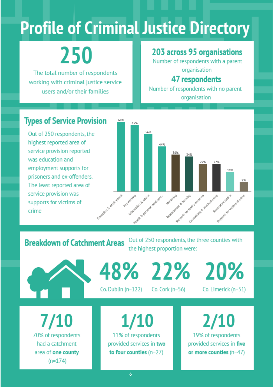# <span id="page-7-0"></span>**Profile of Criminal Justice Directory**

# 250

The total number of respondents working with criminal justice service users and/or their families

### 203 across 95 organisations

Number of respondents with a parent organisation

### **47 respondents**

Number of respondents with no parent organisation

### **Types of Service Provision**

Out of 250 respondents, the highest reported area of service provision reported was education and employment supports for prisoners and ex-offenders. The least reported area of service provision was supports for victims of crime



**Breakdown of Catchment Areas** 

Out of 250 respondents, the three counties with the highest proportion were:



 $1/10$ 70% of respondents had a catchment area of one county  $(n=174)$ 

48% 22% 20%

Co. Dublin (n=122)

 $Co.$  Cork  $(n=56)$ 

Co. Limerick (n=51)

**1/10** 11% of respondents provided services in two to four counties  $(n=27)$ 

19% of respondents provided services in five or more counties (n=47)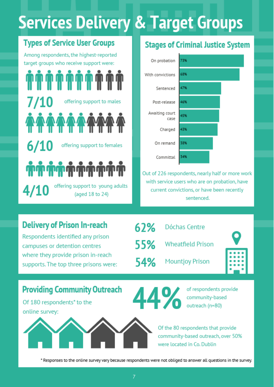# **Services Delivery & Target Groups**

<span id="page-8-0"></span>target groups who receive support were:

offering support to males  $6/10$ offering support to females

offering support to young adults  $4/10$ (aged 18 to 24)

# **Types of Service User Groups** Stages of Criminal Justice System



Out of 226 respondents, nearly half or more work with service users who are on probation, have current convictions, or have been recently sentenced.

### **Delivery of Prison In-reach**

Respondents identified any prison campuses or detention centres where they provide prison in-reach supports. The top three prisons were:

|       | $62\%$ Dóchas Centre   |  |
|-------|------------------------|--|
|       | 55% Wheatfield Prison  |  |
| 54% l | <b>Mountjoy Prison</b> |  |

### **Providing Community Outreach**

Of 180 respondents<sup>\*</sup> to the online survey:



of respondents provide 44% community-based outreach (n=80)

> Of the 80 respondents that provide community-based outreach, over 50% were located in Co. Dublin

\* Responses to the online survey vary because respondents were not obliged to answer all questions in the survey.

7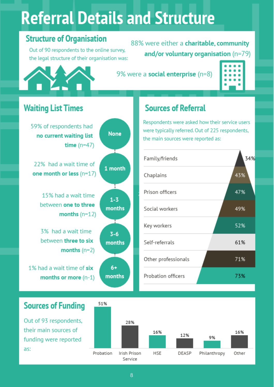# **Referral Details and Structure**

### **Structure of Organisation**

<span id="page-9-0"></span>Out of 90 respondents to the online survey, the legal structure of their organisation was:

88% were either a charitable, community and/or voluntary organisation  $(n=79)$ 

9% were a social enterprise (n=8)

|   | . |   |
|---|---|---|
|   | . |   |
|   | . |   |
|   | . |   |
| ٠ |   | ۰ |
|   |   |   |

### **Waiting List Times**

59% of respondents had no current waiting list time  $(n=47)$ 

22% had a wait time of one month or less (n=17)

> 15% had a wait time between one to three months  $(n=12)$

3% had a wait time between three to six months  $(n=2)$ 

1% had a wait time of six months or more  $(n-1)$ 



### **Sources of Referral**

Respondents were asked how their service users were typically referred. Out of 225 respondents, the main sources were reported as:

| Family/friends      | 34% |
|---------------------|-----|
| Chaplains           | 43% |
| Prison officers     | 47% |
| Social workers      | 49% |
| Key workers         | 52% |
| Self-referrals      | 61% |
| Other professionals | 71% |
| Probation officers  | 73% |



Out of 93 respondents, their main sources of funding were reported as:

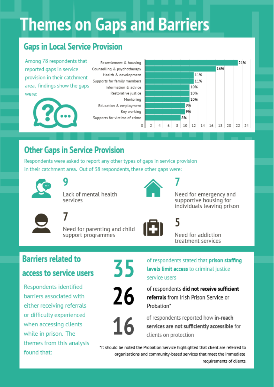# **Themes on Gaps and Barriers**

### <span id="page-10-0"></span>**Gaps in Local Service Provision**

Among 78 respondents that reported gaps in service provision in their catchment area, findings show the gaps were:



Resettlement & housing Counselling & psychotherapy Health & development Supports for family members Information & advice Restorative justice Mentoring Education & employment Key working Supports for victims of crime



## **Other Gaps in Service Provision**

Respondents were asked to report any other types of gaps in service provision in their catchment area. Out of 38 respondents, these other gaps were:



Lack of mental health services



Need for emergency and supportive housing for individuals leaving prison



Need for parenting and child support programmes





Need for addiction treatment services

# **Barriers related to**

### access to service users

Respondents identified barriers associated with either receiving referrals or difficulty experienced when accessing clients while in prison. The themes from this analysis found that:



26

16

of respondents stated that prison staffing levels limit access to criminal justice service users

of respondents did not receive sufficient referrals from Irish Prison Service or Probation\*

of respondents reported how in-reach services are not sufficiently accessible for clients on protection

\*It should be noted the Probation Service highlighted that client are referred to organisations and community-based services that meet the immediate requirements of clients.